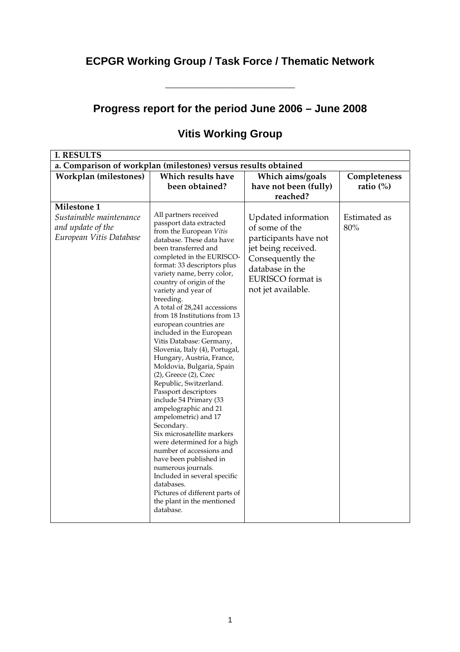# **ECPGR Working Group / Task Force / Thematic Network**

\_\_\_\_\_\_\_\_\_\_\_\_\_\_\_\_\_\_\_\_\_\_\_\_\_\_\_\_

## **Progress report for the period June 2006 – June 2008**

| <b>I. RESULTS</b>                                                                      |                                                                                                                                                                                                                                                                                                                                                                                                                                                                                                                                                                                                                                                                                                                                                                                                                                                                                                                                                                                      |                                                                                                                                                                         |                     |  |  |
|----------------------------------------------------------------------------------------|--------------------------------------------------------------------------------------------------------------------------------------------------------------------------------------------------------------------------------------------------------------------------------------------------------------------------------------------------------------------------------------------------------------------------------------------------------------------------------------------------------------------------------------------------------------------------------------------------------------------------------------------------------------------------------------------------------------------------------------------------------------------------------------------------------------------------------------------------------------------------------------------------------------------------------------------------------------------------------------|-------------------------------------------------------------------------------------------------------------------------------------------------------------------------|---------------------|--|--|
| a. Comparison of workplan (milestones) versus results obtained                         |                                                                                                                                                                                                                                                                                                                                                                                                                                                                                                                                                                                                                                                                                                                                                                                                                                                                                                                                                                                      |                                                                                                                                                                         |                     |  |  |
| Workplan (milestones)                                                                  | Which results have                                                                                                                                                                                                                                                                                                                                                                                                                                                                                                                                                                                                                                                                                                                                                                                                                                                                                                                                                                   | Which aims/goals                                                                                                                                                        | Completeness        |  |  |
|                                                                                        | been obtained?                                                                                                                                                                                                                                                                                                                                                                                                                                                                                                                                                                                                                                                                                                                                                                                                                                                                                                                                                                       | have not been (fully)                                                                                                                                                   | ratio $(\%)$        |  |  |
|                                                                                        |                                                                                                                                                                                                                                                                                                                                                                                                                                                                                                                                                                                                                                                                                                                                                                                                                                                                                                                                                                                      | reached?                                                                                                                                                                |                     |  |  |
| Milestone 1<br>Sustainable maintenance<br>and update of the<br>European Vitis Database | All partners received<br>passport data extracted<br>from the European Vitis<br>database. These data have<br>been transferred and<br>completed in the EURISCO-<br>format: 33 descriptors plus<br>variety name, berry color,<br>country of origin of the<br>variety and year of<br>breeding.<br>A total of 28,241 accessions<br>from 18 Institutions from 13<br>european countries are<br>included in the European<br>Vitis Database: Germany,<br>Slovenia, Italy (4), Portugal,<br>Hungary, Austria, France,<br>Moldovia, Bulgaria, Spain<br>$(2)$ , Greece $(2)$ , Czec<br>Republic, Switzerland.<br>Passport descriptors<br>include 54 Primary (33<br>ampelographic and 21<br>ampelometric) and 17<br>Secondary.<br>Six microsatellite markers<br>were determined for a high<br>number of accessions and<br>have been published in<br>numerous journals.<br>Included in several specific<br>databases.<br>Pictures of different parts of<br>the plant in the mentioned<br>database. | Updated information<br>of some of the<br>participants have not<br>jet being received.<br>Consequently the<br>database in the<br>EURISCO format is<br>not jet available. | Estimated as<br>80% |  |  |

## **Vitis Working Group**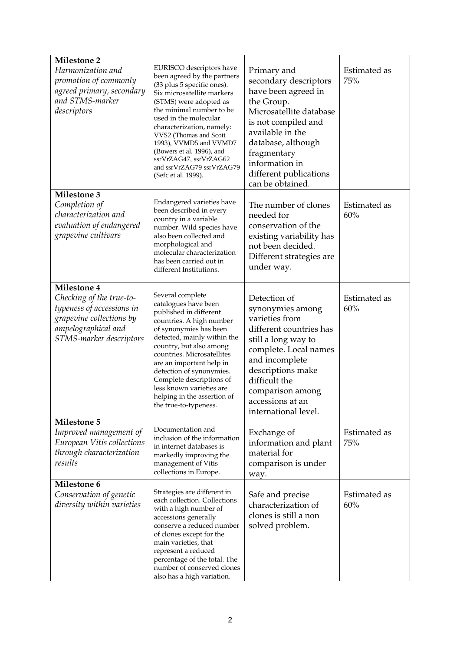| <b>Milestone 2</b><br>Harmonization and<br>promotion of commonly<br>agreed primary, secondary<br>and STMS-marker<br>descriptors                    | EURISCO descriptors have<br>been agreed by the partners<br>(33 plus 5 specific ones).<br>Six microsatellite markers<br>(STMS) were adopted as<br>the minimal number to be<br>used in the molecular<br>characterization, namely:<br>VVS2 (Thomas and Scott<br>1993), VVMD5 and VVMD7<br>(Bowers et al. 1996), and<br>ssrVrZAG47, ssrVrZAG62<br>and ssrVrZAG79 ssrVrZAG79<br>(Sefc et al. 1999). | Primary and<br>secondary descriptors<br>have been agreed in<br>the Group.<br>Microsatellite database<br>is not compiled and<br>available in the<br>database, although<br>fragmentary<br>information in<br>different publications<br>can be obtained.  | Estimated as<br>75% |
|----------------------------------------------------------------------------------------------------------------------------------------------------|------------------------------------------------------------------------------------------------------------------------------------------------------------------------------------------------------------------------------------------------------------------------------------------------------------------------------------------------------------------------------------------------|-------------------------------------------------------------------------------------------------------------------------------------------------------------------------------------------------------------------------------------------------------|---------------------|
| <b>Milestone 3</b><br>Completion of<br>characterization and<br>evaluation of endangered<br>grapevine cultivars                                     | Endangered varieties have<br>been described in every<br>country in a variable<br>number. Wild species have<br>also been collected and<br>morphological and<br>molecular characterization<br>has been carried out in<br>different Institutions.                                                                                                                                                 | The number of clones<br>needed for<br>conservation of the<br>existing variability has<br>not been decided.<br>Different strategies are<br>under way.                                                                                                  | Estimated as<br>60% |
| Milestone 4<br>Checking of the true-to-<br>typeness of accessions in<br>grapevine collections by<br>ampelographical and<br>STMS-marker descriptors | Several complete<br>catalogues have been<br>published in different<br>countries. A high number<br>of synonymies has been<br>detected, mainly within the<br>country, but also among<br>countries. Microsatellites<br>are an important help in<br>detection of synonymies.<br>Complete descriptions of<br>less known varieties are<br>helping in the assertion of<br>the true-to-typeness.       | Detection of<br>synonymies among<br>varieties from<br>different countries has<br>still a long way to<br>complete. Local names<br>and incomplete<br>descriptions make<br>difficult the<br>comparison among<br>accessions at an<br>international level. | Estimated as<br>60% |
| <b>Milestone 5</b><br>Improved management of<br>European Vitis collections<br>through characterization<br>results                                  | Documentation and<br>inclusion of the information<br>in internet databases is<br>markedly improving the<br>management of Vitis<br>collections in Europe.                                                                                                                                                                                                                                       | Exchange of<br>information and plant<br>material for<br>comparison is under<br>way.                                                                                                                                                                   | Estimated as<br>75% |
| Milestone 6<br>Conservation of genetic<br>diversity within varieties                                                                               | Strategies are different in<br>each collection. Collections<br>with a high number of<br>accessions generally<br>conserve a reduced number<br>of clones except for the<br>main varieties, that<br>represent a reduced<br>percentage of the total. The<br>number of conserved clones<br>also has a high variation.                                                                               | Safe and precise<br>characterization of<br>clones is still a non<br>solved problem.                                                                                                                                                                   | Estimated as<br>60% |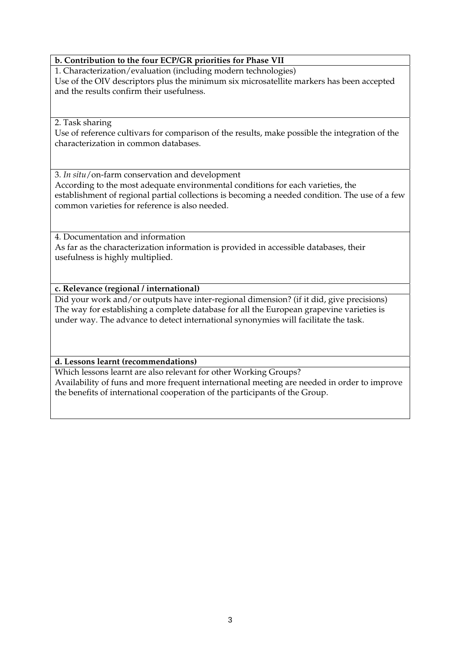#### **b. Contribution to the four ECP/GR priorities for Phase VII**

1. Characterization/evaluation (including modern technologies) Use of the OIV descriptors plus the minimum six microsatellite markers has been accepted and the results confirm their usefulness.

#### 2. Task sharing

Use of reference cultivars for comparison of the results, make possible the integration of the characterization in common databases.

3. *In situ*/on-farm conservation and development According to the most adequate environmental conditions for each varieties, the establishment of regional partial collections is becoming a needed condition. The use of a few common varieties for reference is also needed.

4. Documentation and information As far as the characterization information is provided in accessible databases, their usefulness is highly multiplied.

#### **c. Relevance (regional / international)**

Did your work and/or outputs have inter-regional dimension? (if it did, give precisions) The way for establishing a complete database for all the European grapevine varieties is under way. The advance to detect international synonymies will facilitate the task.

### **d. Lessons learnt (recommendations)**

Which lessons learnt are also relevant for other Working Groups? Availability of funs and more frequent international meeting are needed in order to improve the benefits of international cooperation of the participants of the Group.